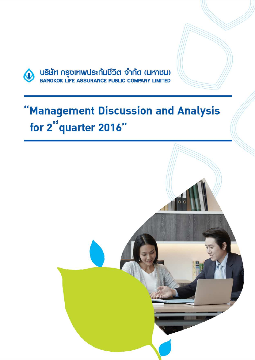

# 'Management Discussion and Analysis for 2<sup>nd</sup> quarter 2016"

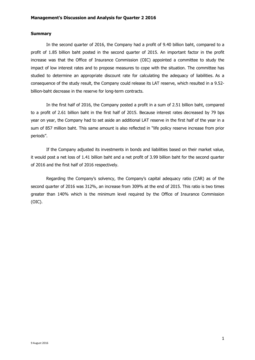## **Summary**

In the second quarter of 2016, the Company had a profit of 9.40 billion baht, compared to a profit of 1.85 billion baht posted in the second quarter of 2015. An important factor in the profit increase was that the Office of Insurance Commission (OIC) appointed a committee to study the impact of low interest rates and to propose measures to cope with the situation. The committee has studied to determine an appropriate discount rate for calculating the adequacy of liabilities. As a consequence of the study result, the Company could release its LAT reserve, which resulted in a 9.52 billion-baht decrease in the reserve for long-term contracts.

In the first half of 2016, the Company posted a profit in a sum of 2.51 billion baht, compared to a profit of 2.61 billion baht in the first half of 2015. Because interest rates decreased by 79 bps year on year, the Company had to set aside an additional LAT reserve in the first half of the year in a sum of 857 million baht. This same amount is also reflected in "life policy reserve increase from prior periods".

If the Company adjusted its investments in bonds and liabilities based on their market value, it would post a net loss of 1.41 billion baht and a net profit of 3.99 billion baht for the second quarter of 2016 and the first half of 2016 respectively.

Regarding the Company's solvency, the Company's capital adequacy ratio (CAR) as of the second quarter of 2016 was 312%, an increase from 309% at the end of 2015. This ratio is two times greater than 140% which is the minimum level required by the Office of Insurance Commission (OIC).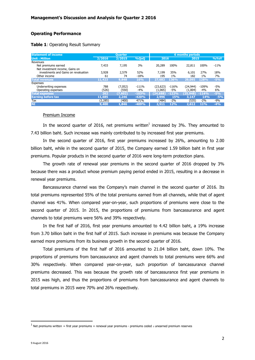# **Operating Performance**

## **Table 1**: Operating Result Summary

| <b>Statement of income</b>           |         | <b>6 months periods</b><br><b>Ouarter</b> |          |           |         |           |         |        |
|--------------------------------------|---------|-------------------------------------------|----------|-----------|---------|-----------|---------|--------|
| Unit: Million                        | 2/2016  | 2/2015                                    | %QoQ     |           | 2016    |           | 2015    |        |
| Revenues                             |         |                                           |          |           |         |           |         |        |
| Net premiums earned                  | 7,433   | 7,195                                     | 3%       | 20,289    | 100%    | 22,811    | 100%    | $-11%$ |
| Net investment income, Gains on      |         |                                           |          |           |         |           |         |        |
| investments and Gains on revaluation | 3,928   | 2,579                                     | 52%      | 7,199     | 35%     | 6,101     | 27%     | 18%    |
| Other income                         | 61      | 74                                        | $-18%$   | 195       | $1\%$   | 182       | $1\%$   | 7%     |
| <b>Total revenues</b>                | 11,423  | 9,848                                     | 16%      | 27,683    | 136%    | 29,095    | 128%    | $-5%$  |
| Expenses                             |         |                                           |          |           |         |           |         |        |
| Underwriting expenses                | 788     | (7,052)                                   | $-111\%$ | (23.623)  | $-116%$ | (24,944)  | $-109%$ | -5%    |
| Operating expenses                   | (526)   | (550)                                     | $-4%$    | (1,065)   | -5%     | (1,004)   | $-4%$   | 6%     |
| <b>Total expenses</b>                | 262     | (7,602)                                   | $-103%$  | (24, 688) | $-122%$ | (25, 948) | $-114%$ | $-5%$  |
| <b>Earning before tax</b>            | 11,685  | 2,246                                     | $-420%$  | 2,996     | 15%     | 3,147     | 14%     | $-5%$  |
| Tax                                  | (2,285) | (400)                                     | 471%     | (484)     | -2%     | (535)     | $-2%$   | $-9%$  |
| <b>NI</b>                            | 9,400   | 1,846                                     | $-409%$  | 2.511     | 12%     | 2,612     | 11%     | $-4%$  |

## Premium Income

In the second quarter of 2016, net premiums written<sup>1</sup> increased by 3%. They amounted to 7.43 billion baht. Such increase was mainly contributed to by increased first year premiums.

In the second quarter of 2016, first year premiums increased by 26%, amounting to 2.00 billion baht, while in the second quarter of 2015, the Company earned 1.59 billion baht in first year premiums. Popular products in the second quarter of 2016 were long-term protection plans.

The growth rate of renewal year premiums in the second quarter of 2016 dropped by 3% because there was a product whose premium paying period ended in 2015, resulting in a decrease in renewal year premiums.

 Bancassurance channel was the Company's main channel in the second quarter of 2016. Its total premiums represented 55% of the total premiums earned from all channels, while that of agent channel was 41%. When compared year-on-year, such proportions of premiums were close to the second quarter of 2015. In 2015, the proportions of premiums from bancassurance and agent channels to total premiums were 56% and 39% respectively.

In the first half of 2016, first year premiums amounted to 4.42 billion baht, a 19% increase from 3.70 billion baht in the first half of 2015. Such increase in premiums was because the Company earned more premiums from its business growth in the second quarter of 2016.

Total premiums of the first half of 2016 amounted to 21.04 billion baht, down 10%. The proportions of premiums from bancassurance and agent channels to total premiums were 66% and 30% respectively. When compared year-on-year, such proportion of bancassurance channel premiums decreased. This was because the growth rate of bancassurance first year premiums in 2015 was high, and thus the proportions of premiums from bancassurance and agent channels to total premiums in 2015 were 70% and 26% respectively.

l

 $^1$  Net premiums written = first year premiums + renewal year premiums - premiums ceded ± unearned premium reserves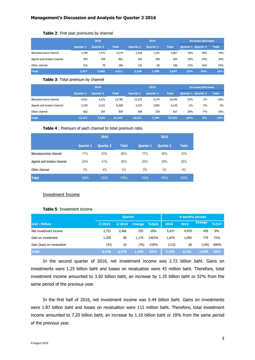|                            | 2016             |           |              |                  | 2015             |              |     | <b>Increase/Decrease</b>   |              |  |
|----------------------------|------------------|-----------|--------------|------------------|------------------|--------------|-----|----------------------------|--------------|--|
|                            | <b>Ouarter 1</b> | Quarter 2 | <b>Total</b> | <b>Ouarter 1</b> | <b>Quarter 2</b> | <b>Total</b> |     | <b>Quarter 1 Quarter 2</b> | <b>Total</b> |  |
| Bancassurrance channel     | 1,798            | 1,472     | 3,270        | 1,636            | 1,231            | 2,867        | 10% | 20%                        | 14%          |  |
| Agents and brokers channel | 403              | 458       | 861          | 346              | 298              | 644          | 16% | 54%                        | 34%          |  |
| Other channel              | 216              | 70        | 286          | 125              | 60               | 186          | 72% | 16%                        | 54%          |  |
| <b>Total</b>               | 2.417            | 2,000     | 4.417        | 2.108            | 1,589            | 3,697        | 15% | 26%                        | 19%          |  |

#### **Table 2**: First year premiums by channel

#### **Table 3**: Total premium by channel

|                            | 2016             |                  |              | 2015             |           |              | <b>Increase/Decrease</b> |                            |              |
|----------------------------|------------------|------------------|--------------|------------------|-----------|--------------|--------------------------|----------------------------|--------------|
|                            | <b>Quarter 1</b> | <b>Quarter 2</b> | <b>Total</b> | <b>Quarter 1</b> | Quarter 2 | <b>Total</b> |                          | <b>Quarter 1 Quarter 2</b> | <b>Total</b> |
| Bancassurrance channel     | 9,551            | 4,231            | 13,782       | 12,276           | 4,174     | 16,450       | $-22%$                   | 1%                         | $-16%$       |
| Agents and brokers channel | 3,199            | 3,101            | 6,300        | 3,237            | 2,902     | 6,139        | $-1\%$                   | 7%                         | 3%           |
| Other channel              | 662              | 297              | 959          | 508              | 318       | 827          | 30%                      | $-7%$                      | 16%          |
| <b>Total</b>               | 13,412           | 7,630            | 21,042       | 16,021           | 7,394     | 23,416       | $-16%$                   | 3%                         | $-10%$       |

#### **Table 4** : Premium of each channel to total premium ratio

|                            |                  | 2016             |              | 2015             |           |              |  |
|----------------------------|------------------|------------------|--------------|------------------|-----------|--------------|--|
|                            | <b>Quarter 1</b> | <b>Quarter 2</b> | <b>Total</b> | <b>Quarter 1</b> | Quarter 2 | <b>Total</b> |  |
| Bancassurrance channel     | 71%              | 55%              | 66%          | 77%              | 56%       | 70%          |  |
| Agents and brokers channel | 24%              | 41%              | 30%          | 20%              | 39%       | 26%          |  |
| Other channel              | 5%               | 4%               | 5%           | 3%               | 4%        | 4%           |  |
| <b>Total</b>               | 100%             | 100%             | 100%         | 100%             | 100%      | 100%         |  |

### Investment Income

# **Table 5**: Investment income

|                            |        | <b>Quarter</b> |               | <b>6 months periods</b> |       |       |               |            |
|----------------------------|--------|----------------|---------------|-------------------------|-------|-------|---------------|------------|
| <b>Unit: Million</b>       | 2/2016 | 2/2015         | <b>Change</b> | %QoQ                    | 2016  | 2015  | <b>Change</b> | %YoY       |
| Net investment income      | 2,721  | 2,466          | 255           | 10%                     | 5,437 | 4,978 | 459           | 9%         |
| Gain on investment         | 1,250  | 80             | 1,170         | 1463%                   | 1,874 | 1,095 | 779           | 71%        |
| Gain (loss) on revaluation | (43)   | 33             | (76)          | $-230%$                 | (112) | 28    | (140)         | $-500%$    |
| <b>Total</b>               | 3,928  | 2,579          | 1,349         | 52%                     | 7,199 | 6,101 | 1.098         | <b>18%</b> |

In the second quarter of 2016, net investment income was 2.72 billion baht. Gains on investments were 1.25 billion baht and losses on revaluation were 43 million baht. Therefore, total investment income amounted to 3.92 billion baht, an increase by 1.35 billion baht or 52% from the same period of the previous year.

In the first half of 2016, net investment income was 5.44 billion baht. Gains on investments were 1.87 billion baht and losses on revaluation were 112 million baht. Therefore, total investment income amounted to 7.20 billion baht, an increase by 1.10 billion baht or 18% from the same period of the previous year.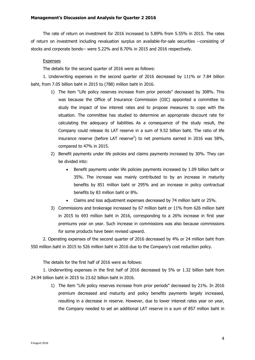The rate of return on investment for 2016 increased to 5.89% from 5.55% in 2015. The rates of return on investment including revaluation surplus on available-for-sale securities --consisting of stocks and corporate bonds-- were 5.22% and 8.70% in 2015 and 2016 respectively.

# Expenses

The details for the second quarter of 2016 were as follows:

1. Underwriting expenses in the second quarter of 2016 decreased by 111% or 7.84 billion baht, from 7.05 billion baht in 2015 to (788) million baht in 2016.

- 1) The item "Life policy reserves increase from prior periods" decreased by 308%. This was because the Office of Insurance Commission (OIC) appointed a committee to study the impact of low interest rates and to propose measures to cope with the situation. The committee has studied to determine an appropriate discount rate for calculating the adequacy of liabilities. As a consequence of the study result, the Company could release its LAT reserve in a sum of 9.52 billion baht. The ratio of life insurance reserve (before LAT reserve<sup>2</sup>) to net premiums earned in 2016 was 58%, compared to 47% in 2015.
- 2) Benefit payments under life policies and claims payments increased by 30%. They can be divided into:
	- Benefit payments under life policies payments increased by 1.09 billion baht or 35%. The increase was mainly contributed to by an increase in maturity benefits by 851 million baht or 295% and an increase in policy contractual benefits by 83 million baht or 8%.
	- Claims and loss adjustment expenses decreased by 74 million baht or 25%.
- 3) Commissions and brokerage increased by 67 million baht or 11% from 626 million baht in 2015 to 693 million baht in 2016, corresponding to a 26% increase in first year premiums year on year. Such increase in commissions was also because commissions for some products have been revised upward.

2. Operating expenses of the second quarter of 2016 decreased by 4% or 24 million baht from 550 million baht in 2015 to 526 million baht in 2016 due to the Company's cost reduction policy.

The details for the first half of 2016 were as follows:

1. Underwriting expenses in the first half of 2016 decreased by 5% or 1.32 billion baht from 24.94 billion baht in 2015 to 23.62 billion baht in 2016.

1) The item "Life policy reserves increase from prior periods" decreased by 21%. In 2016 premium decreased and maturity and policy benefits payments largely increased, resulting in a decrease in reserve. However, due to lower interest rates year on year, the Company needed to set an additional LAT reserve in a sum of 857 million baht in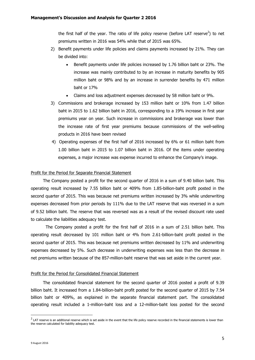the first half of the year. The ratio of life policy reserve (before LAT reserve<sup>2</sup>) to net premiums written in 2016 was 54% while that of 2015 was 65%.

- 2) Benefit payments under life policies and claims payments increased by 21%. They can be divided into:
	- Benefit payments under life policies increased by 1.76 billion baht or 23%. The increase was mainly contributed to by an increase in maturity benefits by 905 million baht or 98% and by an increase in surrender benefits by 471 million baht or 17%
	- Claims and loss adjustment expenses decreased by 58 million baht or 9%.
- 3) Commissions and brokerage increased by 153 million baht or 10% from 1.47 billion baht in 2015 to 1.62 billion baht in 2016, corresponding to a 19% increase in first year premiums year on year. Such increase in commissions and brokerage was lower than the increase rate of first year premiums because commissions of the well-selling products in 2016 have been revised
- 4) Operating expenses of the first half of 2016 increased by 6% or 61 million baht from 1.00 billion baht in 2015 to 1.07 billion baht in 2016. Of the items under operating expenses, a major increase was expense incurred to enhance the Company's image.

#### Profit for the Period for Separate Financial Statement

The Company posted a profit for the second quarter of 2016 in a sum of 9.40 billion baht. This operating result increased by 7.55 billion baht or 409% from 1.85-billion-baht profit posted in the second quarter of 2015. This was because net premiums written increased by 3% while underwriting expenses decreased from prior periods by 111% due to the LAT reserve that was reversed in a sum of 9.52 billion baht. The reserve that was reversed was as a result of the revised discount rate used to calculate the liabilities adequacy test.

 The Company posted a profit for the first half of 2016 in a sum of 2.51 billion baht. This operating result decreased by 101 million baht or 4% from 2.61-billion-baht profit posted in the second quarter of 2015. This was because net premiums written decreased by 11% and underwriting expenses decreased by 5%. Such decrease in underwriting expenses was less than the decrease in net premiums written because of the 857-million-baht reserve that was set aside in the current year.

## Profit for the Period for Consolidated Financial Statement

The consolidated financial statement for the second quarter of 2016 posted a profit of 9.39 billion baht. It increased from a 1.84-billion-baht profit posted for the second quarter of 2015 by 7.54 billion baht or 409%, as explained in the separate financial statement part. The consolidated operating result included a 1-million-baht loss and a 12-million-baht loss posted for the second

 $\overline{a}$ 

 $^2$  LAT reserve is an additional reserve which is set aside in the event that the life policy reserve recorded in the financial statements is lower than the reserve calculated for liability adequacy test.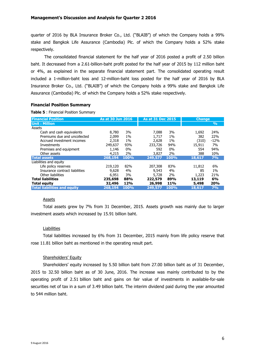quarter of 2016 by BLA Insurance Broker Co., Ltd. ("BLAIB") of which the Company holds a 99% stake and Bangkok Life Assurance (Cambodia) Plc. of which the Company holds a 52% stake respectively.

 The consolidated financial statement for the half year of 2016 posted a profit of 2.50 billion baht. It decreased from a 2.61-billion-baht profit posted for the half year of 2015 by 112 million baht or 4%, as explained in the separate financial statement part. The consolidated operating result included a 1-million-baht loss and 12-million-baht loss posted for the half year of 2016 by BLA Insurance Broker Co., Ltd. ("BLAIB") of which the Company holds a 99% stake and Bangkok Life Assurance (Cambodia) Plc. of which the Company holds a 52% stake respectively.

# **Financial Position Summary**

**Table 5** : Financial Position Summary

| <b>Financial Position</b>           | As at 30 Jun 2016 |       | <b>As at 31 Dec 2015</b> |       | <b>Change</b> |               |
|-------------------------------------|-------------------|-------|--------------------------|-------|---------------|---------------|
| <b>Unit: Million</b>                |                   |       |                          |       |               | $\frac{9}{6}$ |
| Assets                              |                   |       |                          |       |               |               |
| Cash and cash equivalents           | 8,780             | 3%    | 7,088                    | 3%    | 1,692         | 24%           |
| Premiums due and uncollected        | 2.099             | $1\%$ | 1,717                    | $1\%$ | 382           | 22%           |
| Accrued investment incomes          | 2,318             | $1\%$ | 2,628                    | $1\%$ | (310)         | $-12%$        |
| Investments                         | 249,637           | 93%   | 233,726                  | 94%   | 15,911        | 7%            |
| Premises and equipment              | 1,146             | $0\%$ | 592                      | $0\%$ | 554           | 94%           |
| Other assets                        | 4,215             | 2%    | 3,827                    | 2%    | 388           | 10%           |
| <b>Total assets</b>                 | 268,194           | 100%  | 249,577                  | 100%  | 18,617        | 7%            |
| Liabilities and equity              |                   |       |                          |       |               |               |
| Life policy reserves                | 219,120           | 82%   | 207,308                  | 83%   | 11,812        | 6%            |
| Insurance contract liabilities      | 9,628             | 4%    | 9,543                    | 4%    | 85            | $1\%$         |
| Other liabilities                   | 6,951             | 3%    | 5,728                    | 2%    | 1,223         | 21%           |
| <b>Total liabilities</b>            | 235,698           | 88%   | 222,579                  | 89%   | 13,119        | 6%            |
| <b>Total equity</b>                 | 32,496            | 12%   | 26,998                   | 11%   | 5,498         | 20%           |
| <b>Total liabilities and equity</b> | 268,194           | 100%  | 249,577                  | 100%  | 18,617        | 7%            |

# Assets

Total assets grew by 7% from 31 December, 2015. Assets growth was mainly due to larger investment assets which increased by 15.91 billion baht.

# Liabilities

Total liabilities increased by 6% from 31 December, 2015 mainly from life policy reserve that rose 11.81 billion baht as mentioned in the operating result part.

# Shareholders' Equity

Shareholders' equity increased by 5.50 billion baht from 27.00 billion baht as of 31 December, 2015 to 32.50 billion baht as of 30 June, 2016. The increase was mainly contributed to by the operating profit of 2.51 billion baht and gains on fair value of investments in available-for-sale securities net of tax in a sum of 3.49 billion baht. The interim dividend paid during the year amounted to 544 million baht.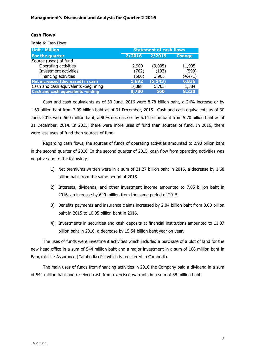# **Cash Flows**

**Table 6**: Cash Flows

| <b>Unit: Million</b>                     | <b>Statement of cash flows</b> |          |               |  |  |
|------------------------------------------|--------------------------------|----------|---------------|--|--|
| For the quarter                          | 2/2016                         | 2/2015   | <b>Change</b> |  |  |
| Source (used) of fund                    |                                |          |               |  |  |
| Operating activities                     | 2,900                          | (9,005)  | 11,905        |  |  |
| Investment activities                    | (702)                          | (103)    | (599)         |  |  |
| Financing activities                     | (506)                          | 3,965    | (4, 471)      |  |  |
| Net increased (decreased) in cash        | 1,692                          | (5, 143) | 6,836         |  |  |
| Cash and cash equivalents -beginning     | 7,088                          | 5,703    | 1,384         |  |  |
| <b>Cash and cash equivalents -ending</b> | 8,780                          | 560      | 8,220         |  |  |

Cash and cash equivalents as of 30 June, 2016 were 8.78 billion baht, a 24% increase or by 1.69 billion baht from 7.09 billion baht as of 31 December, 2015. Cash and cash equivalents as of 30 June, 2015 were 560 million baht, a 90% decrease or by 5.14 billion baht from 5.70 billion baht as of 31 December, 2014. In 2015, there were more uses of fund than sources of fund. In 2016, there were less uses of fund than sources of fund.

Regarding cash flows, the sources of funds of operating activities amounted to 2.90 billion baht in the second quarter of 2016. In the second quarter of 2015, cash flow from operating activities was negative due to the following:

- 1) Net premiums written were in a sum of 21.27 billion baht in 2016, a decrease by 1.68 billion baht from the same period of 2015.
- 2) Interests, dividends, and other investment income amounted to 7.05 billion baht in 2016, an increase by 640 million from the same period of 2015.
- 3) Benefits payments and insurance claims increased by 2.04 billion baht from 8.00 billion baht in 2015 to 10.05 billion baht in 2016.
- 4) Investments in securities and cash deposits at financial institutions amounted to 11.07 billion baht in 2016, a decrease by 15.54 billion baht year on year.

The uses of funds were investment activities which included a purchase of a plot of land for the new head office in a sum of 544 million baht and a major investment in a sum of 108 million baht in Bangkok Life Assurance (Cambodia) Plc which is registered in Cambodia.

The main uses of funds from financing activities in 2016 the Company paid a dividend in a sum of 544 million baht and received cash from exercised warrants in a sum of 38 million baht.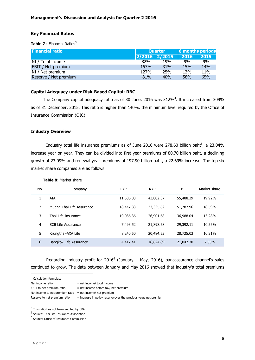# **Key Financial Ratios**

**Table 7** : Financial Ratios<sup>3</sup>

| <b>Financial ratio</b> |        | <b>Ouarter</b>      | 6 months periods |            |  |
|------------------------|--------|---------------------|------------------|------------|--|
|                        |        | $ 2/2016 \t2/2015 $ | 2016             | 2015       |  |
| NI / Total income      | 82%    | 19%                 | 9%               | 9%         |  |
| EBIT / Net premium     | 157%   | 31%                 | 15%              | <b>14%</b> |  |
| NI / Net premium       | 127%   | 25%                 | 12%              | 11%        |  |
| Reserve / Net premium  | $-81%$ | 40%                 | 58%              | 65%        |  |

# **Capital Adequacy under Risk-Based Capital: RBC**

The Company capital adequacy ratio as of 30 June, 2016 was 312%<sup>4</sup>. It increased from 309% as of 31 December, 2015. This ratio is higher than 140%, the minimum level required by the Office of Insurance Commission (OIC).

# **Industry Overview**

Industry total life insurance premiums as of June 2016 were 278.60 billion baht $^5$ , a 23.04% increase year on year. They can be divided into first year premiums of 80.70 billion baht, a declining growth of 23.09% and renewal year premiums of 197.90 billion baht, a 22.69% increase. The top six market share companies are as follows:

| No. | Company                   | <b>FYP</b> | <b>RYP</b> | ТP        | Market share |
|-----|---------------------------|------------|------------|-----------|--------------|
|     | AIA                       | 11,686.03  | 43,802.37  | 55,488.39 | 19.92%       |
| 2   | Muang Thai Life Assurance | 18,447.33  | 33,335.62  | 51,782.96 | 18.59%       |
| 3   | Thai Life Insurance       | 10,086.36  | 26,901.68  | 36,988.04 | 13.28%       |
| 4   | <b>SCB Life Assurance</b> | 7,493.52   | 21,898.58  | 29,392.11 | 10.55%       |
| 5   | Krungthai-AXA Life        | 8,240,50   | 20,484.53  | 28,725.03 | 10.31%       |
| 6   | Bangkok Life Assurance    | 4,417.41   | 16,624.89  | 21,042.30 | 7.55%        |

**Table 8**: Market share

Regarding industry profit for 2016<sup>6</sup> (January – May, 2016), bancassurance channel's sales continued to grow. The data between January and May 2016 showed that industry's total premiums

<sup>3</sup> Calculation formulas:

l

- EBIT to net premium ratio  $=$  net income before tax/ net premium
	-
- 

Net income to net premium ratio = net income/ net premium

Reserve to net premium ratio  $=$  increase in policy reserve over the previous year/ net premium

<sup>4</sup> This ratio has not been audited by CPA.

<sup>5</sup> Source: Thai Life Insurance Association

6 Source: Office of Insurance Commission

Net income ratio  $=$  net income/ total income